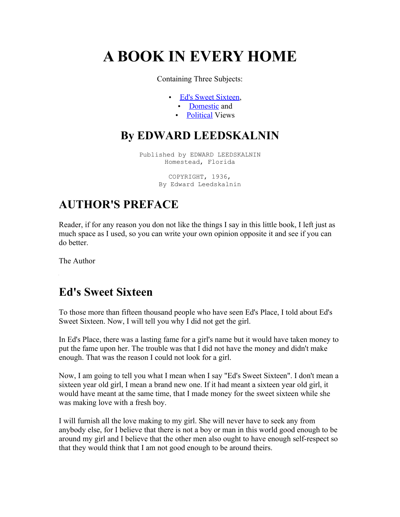# **A BOOK IN EVERY HOME**

Containing Three Subjects:

- • [Ed's Sweet Sixteen,](http://www.sosickrecords.com/KnowledgeCastleBookHome.htm#SweetSixteen%23SweetSixteen)
	- • [Domestic](http://www.sosickrecords.com/KnowledgeCastleBookHome.htm#Domestic%23Domestic) and
	- • [Political](http://www.sosickrecords.com/KnowledgeCastleBookHome.htm#Political%23Political) Views

### **By EDWARD LEEDSKALNIN**

Published by EDWARD LEEDSKALNIN Homestead, Florida

> COPYRIGHT, 1936, By Edward Leedskalnin

## **AUTHOR'S PREFACE**

Reader, if for any reason you don not like the things I say in this little book, I left just as much space as I used, so you can write your own opinion opposite it and see if you can do better.

The Author

 $\mathbf{r}$ 

#### **Ed's Sweet Sixteen**

To those more than fifteen thousand people who have seen Ed's Place, I told about Ed's Sweet Sixteen. Now, I will tell you why I did not get the girl.

In Ed's Place, there was a lasting fame for a girl's name but it would have taken money to put the fame upon her. The trouble was that I did not have the money and didn't make enough. That was the reason I could not look for a girl.

Now, I am going to tell you what I mean when I say "Ed's Sweet Sixteen". I don't mean a sixteen year old girl, I mean a brand new one. If it had meant a sixteen year old girl, it would have meant at the same time, that I made money for the sweet sixteen while she was making love with a fresh boy.

I will furnish all the love making to my girl. She will never have to seek any from anybody else, for I believe that there is not a boy or man in this world good enough to be around my girl and I believe that the other men also ought to have enough self-respect so that they would think that I am not good enough to be around theirs.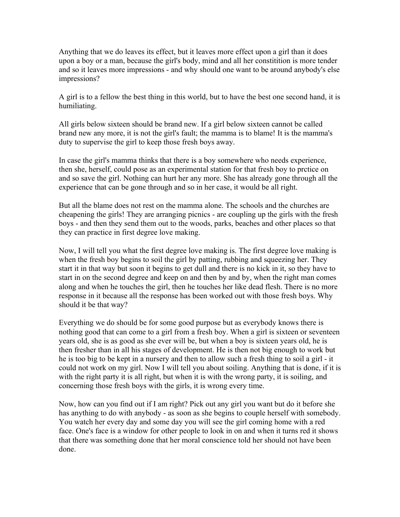Anything that we do leaves its effect, but it leaves more effect upon a girl than it does upon a boy or a man, because the girl's body, mind and all her constitition is more tender and so it leaves more impressions - and why should one want to be around anybody's else impressions?

A girl is to a fellow the best thing in this world, but to have the best one second hand, it is humiliating.

All girls below sixteen should be brand new. If a girl below sixteen cannot be called brand new any more, it is not the girl's fault; the mamma is to blame! It is the mamma's duty to supervise the girl to keep those fresh boys away.

In case the girl's mamma thinks that there is a boy somewhere who needs experience, then she, herself, could pose as an experimental station for that fresh boy to prctice on and so save the girl. Nothing can hurt her any more. She has already gone through all the experience that can be gone through and so in her case, it would be all right.

But all the blame does not rest on the mamma alone. The schools and the churches are cheapening the girls! They are arranging picnics - are coupling up the girls with the fresh boys - and then they send them out to the woods, parks, beaches and other places so that they can practice in first degree love making.

Now, I will tell you what the first degree love making is. The first degree love making is when the fresh boy begins to soil the girl by patting, rubbing and squeezing her. They start it in that way but soon it begins to get dull and there is no kick in it, so they have to start in on the second degree and keep on and then by and by, when the right man comes along and when he touches the girl, then he touches her like dead flesh. There is no more response in it because all the response has been worked out with those fresh boys. Why should it be that way?

Everything we do should be for some good purpose but as everybody knows there is nothing good that can come to a girl from a fresh boy. When a girl is sixteen or seventeen years old, she is as good as she ever will be, but when a boy is sixteen years old, he is then fresher than in all his stages of development. He is then not big enough to work but he is too big to be kept in a nursery and then to allow such a fresh thing to soil a girl - it could not work on my girl. Now I will tell you about soiling. Anything that is done, if it is with the right party it is all right, but when it is with the wrong party, it is soiling, and concerning those fresh boys with the girls, it is wrong every time.

Now, how can you find out if I am right? Pick out any girl you want but do it before she has anything to do with anybody - as soon as she begins to couple herself with somebody. You watch her every day and some day you will see the girl coming home with a red face. One's face is a window for other people to look in on and when it turns red it shows that there was something done that her moral conscience told her should not have been done.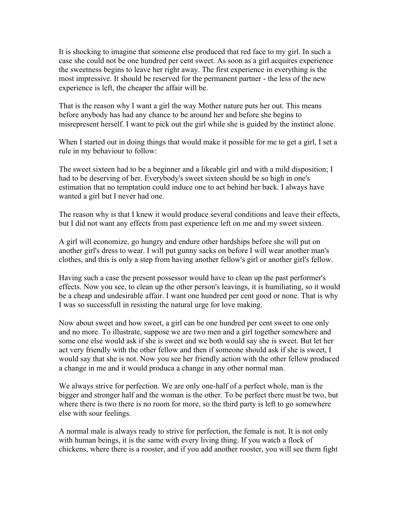It is shocking to imagine that someone else produced that red face to my girl. In such a case she could not be one hundred per cent sweet. As soon as a girl acquires experience the sweetness begins to leave her right away. The first experience in everything is the most impressive. It should be reserved for the permanent partner - the less of the new experience is left, the cheaper the affair will be.

That is the reason why I want a girl the way Mother nature puts her out. This means before anybody has had any chance to be around her and before she begins to misrepresent herself. I want to pick out the girl while she is guided by the instinct alone.

When I started out in doing things that would make it possible for me to get a girl, I set a rule in my behaviour to follow:

The sweet sixteen had to be a beginner and a likeable girl and with a mild disposition; I had to be deserving of her. Everybody's sweet sixteen should be so high in one's estimation that no temptation could induce one to act behind her back. I always have wanted a girl but I never had one.

The reason why is that I knew it would produce several conditions and leave their effects, but I did not want any effects from past experience left on me and my sweet sixteen.

A girl will economize, go hungry and endure other hardships before she will put on another girl's dress to wear. I will put gunny sacks on before I will wear another man's clothes, and this is only a step from having another fellow's girl or another girl's fellow.

Having such a case the present possessor would have to clean up the past performer's effects. Now you see, to clean up the other person's leavings, it is humiliating, so it would be a cheap and undesirable affair. I want one hundred per cent good or none. That is why I was so successfull in resisting the natural urge for love making.

Now about sweet and how sweet, a girl can be one hundred per cent sweet to one only and no more. To illustrate, suppose we are two men and a girl together somewhere and some one else would ask if she is sweet and we both would say she is sweet. But let her act very friendly with the other fellow and then if someone should ask if she is sweet, I would say that she is not. Now you see her friendly action with the other fellow produced a change in me and it would produca a change in any other normal man.

We always strive for perfection. We are only one-half of a perfect whole, man is the bigger and stronger half and the woman is the other. To be perfect there must be two, but where there is two there is no room for more, so the third party is left to go somewhere else with sour feelings.

A normal male is always ready to strive for perfection, the female is not. It is not only with human beings, it is the same with every living thing. If you watch a flock of chickens, where there is a rooster, and if you add another rooster, you will see them fight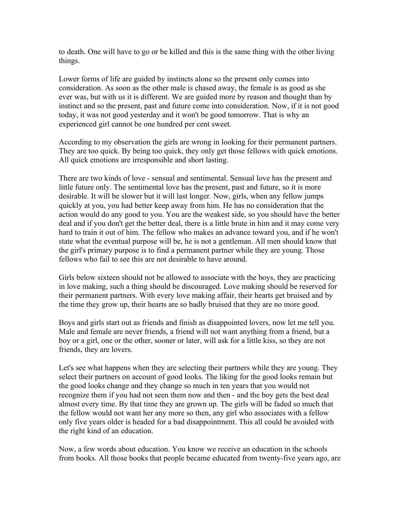to death. One will have to go or be killed and this is the same thing with the other living things.

Lower forms of life are guided by instincts alone so the present only comes into consideration. As soon as the other male is chased away, the female is as good as she ever was, but with us it is different. We are guided more by reason and thought than by instinct and so the present, past and future come into consideration. Now, if it is not good today, it was not good yesterday and it won't be good tomorrow. That is why an experienced girl cannot be one hundred per cent sweet.

According to my observation the girls are wrong in looking for their permanent partners. They are too quick. By being too quick, they only get those fellows with quick emotions. All quick emotions are irresponsible and short lasting.

There are two kinds of love - sensual and sentimental. Sensual love has the present and little future only. The sentimental love has the present, past and future, so it is more desirable. It will be slower but it will last longer. Now, girls, when any fellow jumps quickly at you, you had better keep away from him. He has no consideration that the action would do any good to you. You are the weakest side, so you should have the better deal and if you don't get the better deal, there is a little brute in him and it may come very hard to train it out of him. The fellow who makes an advance toward you, and if he won't state what the eventual purpose will be, he is not a gentleman. All men should know that the girl's primary purpose is to find a permanent partner while they are young. Those fellows who fail to see this are not desirable to have around.

Girls below sixteen should not be allowed to associate with the boys, they are practicing in love making, such a thing should be discouraged. Love making should be reserved for their permanent partners. With every love making affair, their hearts get bruised and by the time they grow up, their hearts are so badly bruised that they are no more good.

Boys and girls start out as friends and finish as disappointed lovers, now let me tell you. Male and female are never friends, a friend will not want anything from a friend, but a boy or a girl, one or the other, sooner or later, will ask for a little kiss, so they are not friends, they are lovers.

Let's see what happens when they are selecting their partners while they are young. They select their partners on account of good looks. The liking for the good looks remain but the good looks change and they change so much in ten years that you would not recognize them if you had not seen them now and then - and the boy gets the best deal almost every time. By that time they are grown up. The girls will be faded so much that the fellow would not want her any more so then, any girl who associates with a fellow only five years older is headed for a bad disappointment. This all could be avoided with the right kind of an education.

Now, a few words about education. You know we receive an education in the schools from books. All those books that people became educated from twenty-five years ago, are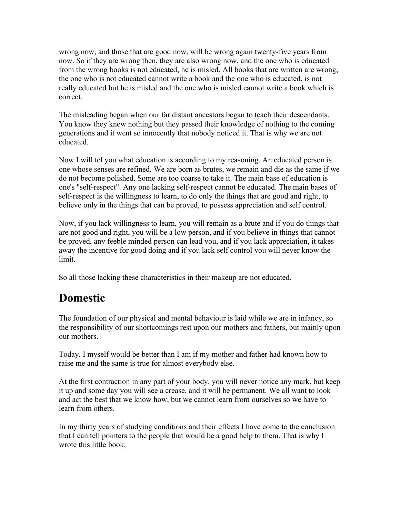wrong now, and those that are good now, will be wrong again twenty-five years from now. So if they are wrong then, they are also wrong now, and the one who is educated from the wrong books is not educated, he is misled. All books that are written are wrong, the one who is not educated cannot write a book and the one who is educated, is not really educated but he is misled and the one who is misled cannot write a book which is correct.

The misleading began when our far distant ancestors began to teach their descendants. You know they knew nothing but they passed their knowledge of nothing to the coming generations and it went so innocently that nobody noticed it. That is why we are not educated.

Now I will tel you what education is according to my reasoning. An educated person is one whose senses are refined. We are born as brutes, we remain and die as the same if we do not become polished. Some are too coarse to take it. The main base of education is one's "self-respect". Any one lacking self-respect cannot be educated. The main bases of self-respect is the willingness to learn, to do only the things that are good and right, to believe only in the things that can be proved, to possess appreciation and self control.

Now, if you lack willingness to learn, you will remain as a brute and if you do things that are not good and right, you will be a low person, and if you believe in things that cannot be proved, any feeble minded person can lead you, and if you lack appreciation, it takes away the incentive for good doing and if you lack self control you will never know the limit.

So all those lacking these characteristics in their makeup are not educated.

## **Domestic**

The foundation of our physical and mental behaviour is laid while we are in infancy, so the responsibility of our shortcomings rest upon our mothers and fathers, but mainly upon our mothers.

Today, I myself would be better than I am if my mother and father had known how to raise me and the same is true for almost everybody else.

At the first contraction in any part of your body, you will never notice any mark, but keep it up and some day you will see a crease, and it will be permanent. We all want to look and act the best that we know how, but we cannot learn from ourselves so we have to learn from others.

In my thirty years of studying conditions and their effects I have come to the conclusion that I can tell pointers to the people that would be a good help to them. That is why I wrote this little book.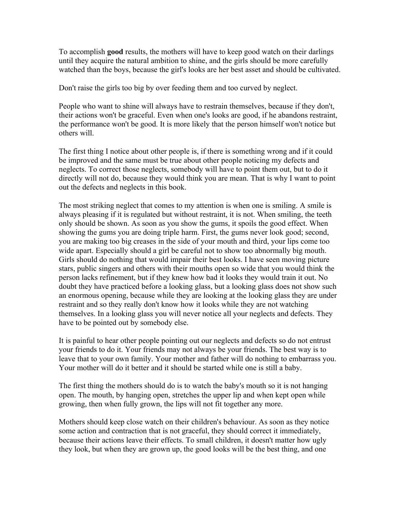To accomplish **good** results, the mothers will have to keep good watch on their darlings until they acquire the natural ambition to shine, and the girls should be more carefully watched than the boys, because the girl's looks are her best asset and should be cultivated.

Don't raise the girls too big by over feeding them and too curved by neglect.

People who want to shine will always have to restrain themselves, because if they don't, their actions won't be graceful. Even when one's looks are good, if he abandons restraint, the performance won't be good. It is more likely that the person himself won't notice but others will.

The first thing I notice about other people is, if there is something wrong and if it could be improved and the same must be true about other people noticing my defects and neglects. To correct those neglects, somebody will have to point them out, but to do it directly will not do, because they would think you are mean. That is why I want to point out the defects and neglects in this book.

The most striking neglect that comes to my attention is when one is smiling. A smile is always pleasing if it is regulated but without restraint, it is not. When smiling, the teeth only should be shown. As soon as you show the gums, it spoils the good effect. When showing the gums you are doing triple harm. First, the gums never look good; second, you are making too big creases in the side of your mouth and third, your lips come too wide apart. Especially should a girl be careful not to show too abnormally big mouth. Girls should do nothing that would impair their best looks. I have seen moving picture stars, public singers and others with their mouths open so wide that you would think the person lacks refinement, but if they knew how bad it looks they would train it out. No doubt they have practiced before a looking glass, but a looking glass does not show such an enormous opening, because while they are looking at the looking glass they are under restraint and so they really don't know how it looks while they are not watching themselves. In a looking glass you will never notice all your neglects and defects. They have to be pointed out by somebody else.

It is painful to hear other people pointing out our neglects and defects so do not entrust your friends to do it. Your friends may not always be your friends. The best way is to leave that to your own family. Your mother and father will do nothing to embarrass you. Your mother will do it better and it should be started while one is still a baby.

The first thing the mothers should do is to watch the baby's mouth so it is not hanging open. The mouth, by hanging open, stretches the upper lip and when kept open while growing, then when fully grown, the lips will not fit together any more.

Mothers should keep close watch on their children's behaviour. As soon as they notice some action and contraction that is not graceful, they should correct it immediately, because their actions leave their effects. To small children, it doesn't matter how ugly they look, but when they are grown up, the good looks will be the best thing, and one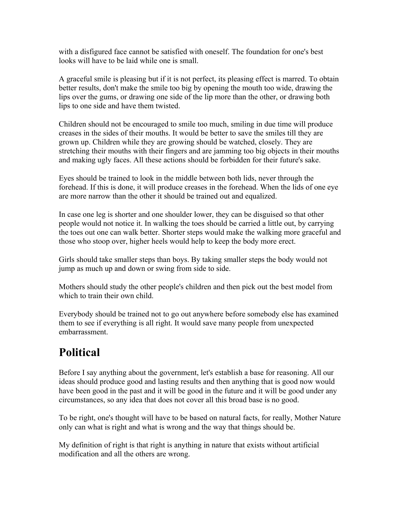with a disfigured face cannot be satisfied with oneself. The foundation for one's best looks will have to be laid while one is small.

A graceful smile is pleasing but if it is not perfect, its pleasing effect is marred. To obtain better results, don't make the smile too big by opening the mouth too wide, drawing the lips over the gums, or drawing one side of the lip more than the other, or drawing both lips to one side and have them twisted.

Children should not be encouraged to smile too much, smiling in due time will produce creases in the sides of their mouths. It would be better to save the smiles till they are grown up. Children while they are growing should be watched, closely. They are stretching their mouths with their fingers and are jamming too big objects in their mouths and making ugly faces. All these actions should be forbidden for their future's sake.

Eyes should be trained to look in the middle between both lids, never through the forehead. If this is done, it will produce creases in the forehead. When the lids of one eye are more narrow than the other it should be trained out and equalized.

In case one leg is shorter and one shoulder lower, they can be disguised so that other people would not notice it. In walking the toes should be carried a little out, by carrying the toes out one can walk better. Shorter steps would make the walking more graceful and those who stoop over, higher heels would help to keep the body more erect.

Girls should take smaller steps than boys. By taking smaller steps the body would not jump as much up and down or swing from side to side.

Mothers should study the other people's children and then pick out the best model from which to train their own child.

Everybody should be trained not to go out anywhere before somebody else has examined them to see if everything is all right. It would save many people from unexpected embarrassment.

## **Political**

Before I say anything about the government, let's establish a base for reasoning. All our ideas should produce good and lasting results and then anything that is good now would have been good in the past and it will be good in the future and it will be good under any circumstances, so any idea that does not cover all this broad base is no good.

To be right, one's thought will have to be based on natural facts, for really, Mother Nature only can what is right and what is wrong and the way that things should be.

My definition of right is that right is anything in nature that exists without artificial modification and all the others are wrong.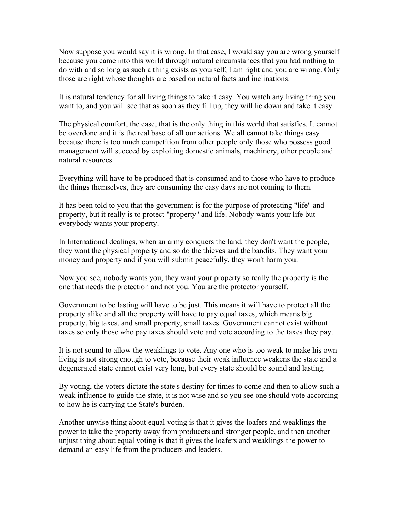Now suppose you would say it is wrong. In that case, I would say you are wrong yourself because you came into this world through natural circumstances that you had nothing to do with and so long as such a thing exists as yourself, I am right and you are wrong. Only those are right whose thoughts are based on natural facts and inclinations.

It is natural tendency for all living things to take it easy. You watch any living thing you want to, and you will see that as soon as they fill up, they will lie down and take it easy.

The physical comfort, the ease, that is the only thing in this world that satisfies. It cannot be overdone and it is the real base of all our actions. We all cannot take things easy because there is too much competition from other people only those who possess good management will succeed by exploiting domestic animals, machinery, other people and natural resources.

Everything will have to be produced that is consumed and to those who have to produce the things themselves, they are consuming the easy days are not coming to them.

It has been told to you that the government is for the purpose of protecting "life" and property, but it really is to protect "property" and life. Nobody wants your life but everybody wants your property.

In International dealings, when an army conquers the land, they don't want the people, they want the physical property and so do the thieves and the bandits. They want your money and property and if you will submit peacefully, they won't harm you.

Now you see, nobody wants you, they want your property so really the property is the one that needs the protection and not you. You are the protector yourself.

Government to be lasting will have to be just. This means it will have to protect all the property alike and all the property will have to pay equal taxes, which means big property, big taxes, and small property, small taxes. Government cannot exist without taxes so only those who pay taxes should vote and vote according to the taxes they pay.

It is not sound to allow the weaklings to vote. Any one who is too weak to make his own living is not strong enough to vote, because their weak influence weakens the state and a degenerated state cannot exist very long, but every state should be sound and lasting.

By voting, the voters dictate the state's destiny for times to come and then to allow such a weak influence to guide the state, it is not wise and so you see one should vote according to how he is carrying the State's burden.

Another unwise thing about equal voting is that it gives the loafers and weaklings the power to take the property away from producers and stronger people, and then another unjust thing about equal voting is that it gives the loafers and weaklings the power to demand an easy life from the producers and leaders.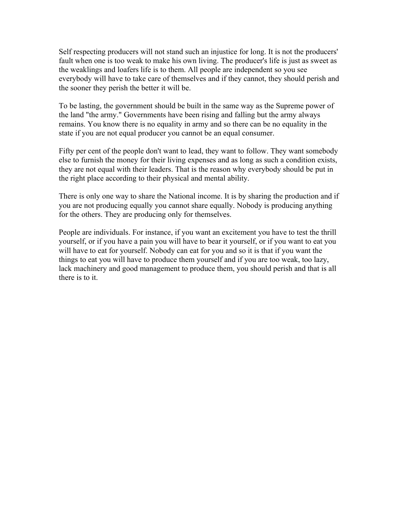Self respecting producers will not stand such an injustice for long. It is not the producers' fault when one is too weak to make his own living. The producer's life is just as sweet as the weaklings and loafers life is to them. All people are independent so you see everybody will have to take care of themselves and if they cannot, they should perish and the sooner they perish the better it will be.

To be lasting, the government should be built in the same way as the Supreme power of the land "the army." Governments have been rising and falling but the army always remains. You know there is no equality in army and so there can be no equality in the state if you are not equal producer you cannot be an equal consumer.

Fifty per cent of the people don't want to lead, they want to follow. They want somebody else to furnish the money for their living expenses and as long as such a condition exists, they are not equal with their leaders. That is the reason why everybody should be put in the right place according to their physical and mental ability.

There is only one way to share the National income. It is by sharing the production and if you are not producing equally you cannot share equally. Nobody is producing anything for the others. They are producing only for themselves.

People are individuals. For instance, if you want an excitement you have to test the thrill yourself, or if you have a pain you will have to bear it yourself, or if you want to eat you will have to eat for yourself. Nobody can eat for you and so it is that if you want the things to eat you will have to produce them yourself and if you are too weak, too lazy, lack machinery and good management to produce them, you should perish and that is all there is to it.